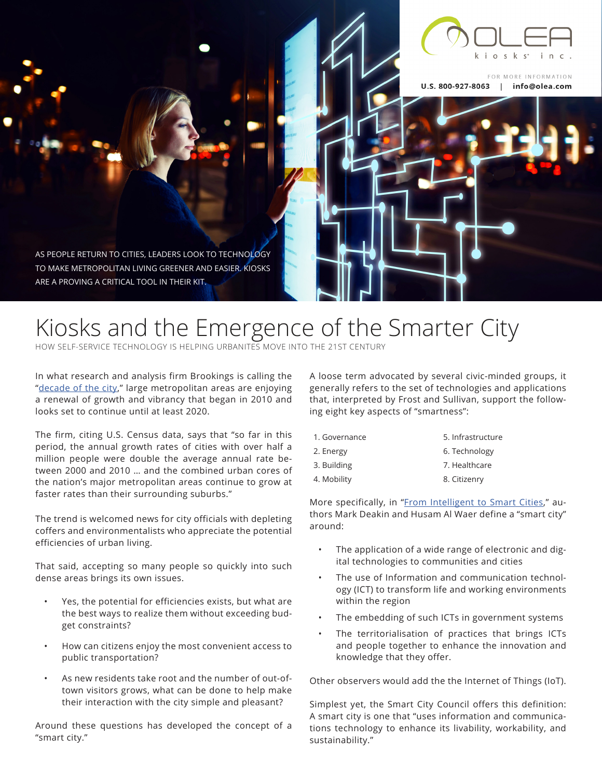

FOR MORE INFORMATION U.S. 800-927-8063 | info@olea.com

AS PEOPLE RETURN TO CITIES, LEADERS LOOK TO TECHNOLOGY TO MAKE METROPOLITAN LIVING GREENER AND EASIER. KIOSKS ARE A PROVING A CRITICAL TOOL IN THEIR KIT.

# Kiosks and the Emergence of the Smarter City

HOW SELF-SERVICE TECHNOLOGY IS HELPING URBANITES MOVE INTO THE 21ST CENTURY

In what research and analysis firm Brookings is calling the ["decade of the city](https://www.brookings.edu/blog/the-avenue/2016/05/23/mid-decade-big-city-growth-continues/)," large metropolitan areas are enjoying a renewal of growth and vibrancy that began in 2010 and looks set to continue until at least 2020.

The firm, citing U.S. Census data, says that "so far in this period, the annual growth rates of cities with over half a million people were double the average annual rate between 2000 and 2010 … and the combined urban cores of the nation's major metropolitan areas continue to grow at faster rates than their surrounding suburbs."

The trend is welcomed news for city officials with depleting coffers and environmentalists who appreciate the potential efficiencies of urban living.

That said, accepting so many people so quickly into such dense areas brings its own issues.

- Yes, the potential for efficiencies exists, but what are the best ways to realize them without exceeding budget constraints?
- How can citizens enjoy the most convenient access to public transportation?
- As new residents take root and the number of out-oftown visitors grows, what can be done to help make their interaction with the city simple and pleasant?

Around these questions has developed the concept of a "smart city."

A loose term advocated by several civic-minded groups, it generally refers to the set of technologies and applications that, interpreted by Frost and Sullivan, support the following eight key aspects of "smartness":

| 1. Governance | 5. Infrastructure |
|---------------|-------------------|
| 2. Energy     | 6. Technology     |
| 3. Building   | 7. Healthcare     |
| 4. Mobility   | 8. Citizenry      |

More specifically, in "[From Intelligent to Smart Cities,](http://www.tandfonline.com/doi/abs/10.1080/17508975.2011.586671)" authors Mark Deakin and Husam Al Waer define a "smart city" around:

- The application of a wide range of electronic and digital technologies to communities and cities
- The use of Information and communication technology (ICT) to transform life and working environments within the region
- The embedding of such ICTs in government systems
- The territorialisation of practices that brings ICTs and people together to enhance the innovation and knowledge that they offer.

Other observers would add the the Internet of Things (IoT).

Simplest yet, the Smart City Council offers this definition: A smart city is one that "uses information and communications technology to enhance its livability, workability, and sustainability."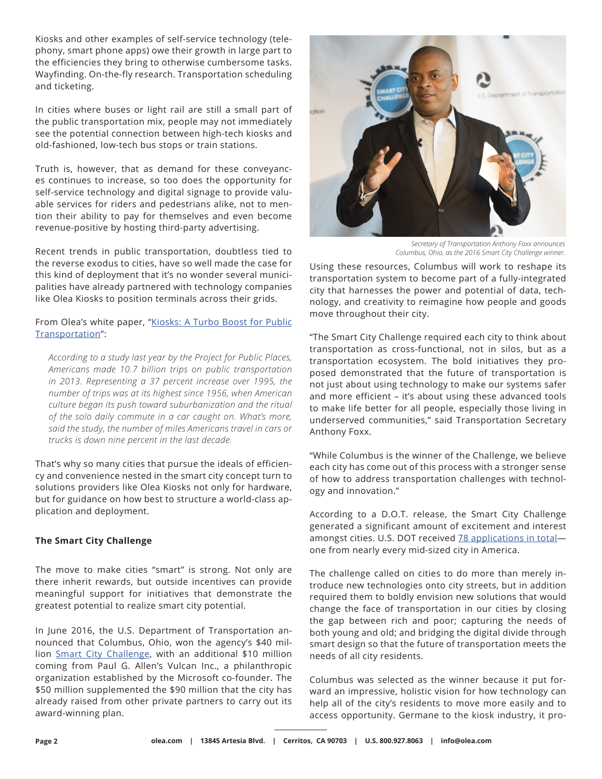Kiosks and other examples of self-service technology (telephony, smart phone apps) owe their growth in large part to the efficiencies they bring to otherwise cumbersome tasks. Wayfinding. On-the-fly research. Transportation scheduling and ticketing.

In cities where buses or light rail are still a small part of the public transportation mix, people may not immediately see the potential connection between high-tech kiosks and old-fashioned, low-tech bus stops or train stations.

Truth is, however, that as demand for these conveyances continues to increase, so too does the opportunity for self-service technology and digital signage to provide valuable services for riders and pedestrians alike, not to mention their ability to pay for themselves and even become revenue-positive by hosting third-party advertising.

Recent trends in public transportation, doubtless tied to the reverse exodus to cities, have so well made the case for this kind of deployment that it's no wonder several municipalities have already partnered with technology companies like Olea Kiosks to position terminals across their grids.

From Olea's white paper, "[Kiosks: A Turbo Boost for Public](http://www.olea.com/thelab/kiosks-turbo-boost-public-transportation/) [Transportation](http://www.olea.com/thelab/kiosks-turbo-boost-public-transportation/)":

*According to a study last year by the Project for Public Places, Americans made 10.7 billion trips on public transportation in 2013. Representing a 37 percent increase over 1995, the number of trips was at its highest since 1956, when American culture began its push toward suburbanization and the ritual of the solo daily commute in a car caught on. What's more, said the study, the number of miles Americans travel in cars or trucks is down nine percent in the last decade.*

That's why so many cities that pursue the ideals of efficiency and convenience nested in the smart city concept turn to solutions providers like Olea Kiosks not only for hardware, but for guidance on how best to structure a world-class application and deployment.

# **The Smart City Challenge**

The move to make cities "smart" is strong. Not only are there inherit rewards, but outside incentives can provide meaningful support for initiatives that demonstrate the greatest potential to realize smart city potential.

In June 2016, the U.S. Department of Transportation announced that Columbus, Ohio, won the agency's \$40 million [Smart City Challenge](https://www.transportation.gov/smartcity), with an additional \$10 million coming from Paul G. Allen's Vulcan Inc., a philanthropic organization established by the Microsoft co-founder. The \$50 million supplemented the \$90 million that the city has already raised from other private partners to carry out its award-winning plan.



*Secretary of Transportation Anthony Foxx announces Columbus, Ohio, as the 2016 Smart City Challenge winner.*

Using these resources, Columbus will work to reshape its transportation system to become part of a fully-integrated city that harnesses the power and potential of data, technology, and creativity to reimagine how people and goods move throughout their city.

"The Smart City Challenge required each city to think about transportation as cross-functional, not in silos, but as a transportation ecosystem. The bold initiatives they proposed demonstrated that the future of transportation is not just about using technology to make our systems safer and more efficient – it's about using these advanced tools to make life better for all people, especially those living in underserved communities," said Transportation Secretary Anthony Foxx.

"While Columbus is the winner of the Challenge, we believe each city has come out of this process with a stronger sense of how to address transportation challenges with technology and innovation."

According to a D.O.T. release, the Smart City Challenge generated a significant amount of excitement and interest amongst cities. U.S. DOT received **78** applications in totalone from nearly every mid-sized city in America.

The challenge called on cities to do more than merely introduce new technologies onto city streets, but in addition required them to boldly envision new solutions that would change the face of transportation in our cities by closing the gap between rich and poor; capturing the needs of both young and old; and bridging the digital divide through smart design so that the future of transportation meets the needs of all city residents.

Columbus was selected as the winner because it put forward an impressive, holistic vision for how technology can help all of the city's residents to move more easily and to access opportunity. Germane to the kiosk industry, it pro-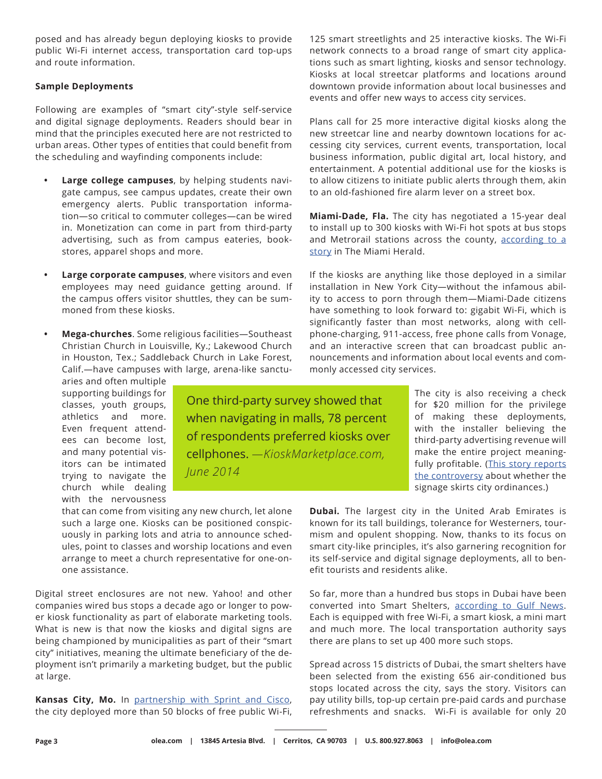posed and has already begun deploying kiosks to provide public Wi-Fi internet access, transportation card top-ups and route information.

## **Sample Deployments**

Following are examples of "smart city"-style self-service and digital signage deployments. Readers should bear in mind that the principles executed here are not restricted to urban areas. Other types of entities that could benefit from the scheduling and wayfinding components include:

- **• Large college campuses**, by helping students navigate campus, see campus updates, create their own emergency alerts. Public transportation information—so critical to commuter colleges—can be wired in. Monetization can come in part from third-party advertising, such as from campus eateries, bookstores, apparel shops and more.
- **• Large corporate campuses**, where visitors and even employees may need guidance getting around. If the campus offers visitor shuttles, they can be summoned from these kiosks.
- **• Mega-churches**. Some religious facilities—Southeast Christian Church in Louisville, Ky.; Lakewood Church in Houston, Tex.; Saddleback Church in Lake Forest, Calif.—have campuses with large, arena-like sanctu-

aries and often multiple supporting buildings for classes, youth groups, athletics and more. Even frequent attendees can become lost, and many potential visitors can be intimated trying to navigate the church while dealing with the nervousness

One third-party survey showed that when navigating in malls, 78 percent of respondents preferred kiosks over cellphones. *—KioskMarketplace.com, June 2014*

125 smart streetlights and 25 interactive kiosks. The Wi-Fi network connects to a broad range of smart city applications such as smart lighting, kiosks and sensor technology. Kiosks at local streetcar platforms and locations around downtown provide information about local businesses and events and offer new ways to access city services.

Plans call for 25 more interactive digital kiosks along the new streetcar line and nearby downtown locations for accessing city services, current events, transportation, local business information, public digital art, local history, and entertainment. A potential additional use for the kiosks is to allow citizens to initiate public alerts through them, akin to an old-fashioned fire alarm lever on a street box.

**Miami-Dade, Fla.** The city has negotiated a 15-year deal to install up to 300 kiosks with Wi-Fi hot spots at bus stops and Metrorail stations across the county, according to a [story](http://www.miamiherald.com/news/local/community/miami-dade/article121439277.html) in The Miami Herald.

If the kiosks are anything like those deployed in a similar installation in New York City—without the infamous ability to access to porn through them—Miami-Dade citizens have something to look forward to: gigabit Wi-Fi, which is significantly faster than most networks, along with cellphone-charging, 911-access, free phone calls from Vonage, and an interactive screen that can broadcast public announcements and information about local events and commonly accessed city services.

> The city is also receiving a check for \$20 million for the privilege of making these deployments, with the installer believing the third-party advertising revenue will make the entire project meaning-fully profitable. ([This story reports](http://www.miamiherald.com/news/local/community/miami-dade/article121439277.html) [the controversy](http://www.miamiherald.com/news/local/community/miami-dade/article121439277.html) about whether the signage skirts city ordinances.)

that can come from visiting any new church, let alone such a large one. Kiosks can be positioned conspicuously in parking lots and atria to announce schedules, point to classes and worship locations and even arrange to meet a church representative for one-onone assistance.

Digital street enclosures are not new. Yahoo! and other companies wired bus stops a decade ago or longer to power kiosk functionality as part of elaborate marketing tools. What is new is that now the kiosks and digital signs are being championed by municipalities as part of their "smart city" initiatives, meaning the ultimate beneficiary of the deployment isn't primarily a marketing budget, but the public at large.

**Kansas City, Mo.** In [partnership with Sprint and Cisco,](http://www.prnewswire.com/news-releases/kansas-city-launches-smart-city-initiative-in-collaboration-with-cisco-and-sprint-300263755.html) the city deployed more than 50 blocks of free public Wi-Fi, **Dubai.** The largest city in the United Arab Emirates is known for its tall buildings, tolerance for Westerners, tourmism and opulent shopping. Now, thanks to its focus on smart city-like principles, it's also garnering recognition for its self-service and digital signage deployments, all to benefit tourists and residents alike.

So far, more than a hundred bus stops in Dubai have been converted into Smart Shelters, [according to Gulf News.](http://gulfnews.com/news/uae/transport/wifi-kiosk-and-mini-mart-at-100-bus-stops-in-dubai-1.1862669) Each is equipped with free Wi-Fi, a smart kiosk, a mini mart and much more. The local transportation authority says there are plans to set up 400 more such stops.

Spread across 15 districts of Dubai, the smart shelters have been selected from the existing 656 air-conditioned bus stops located across the city, says the story. Visitors can pay utility bills, top-up certain pre-paid cards and purchase refreshments and snacks. Wi-Fi is available for only 20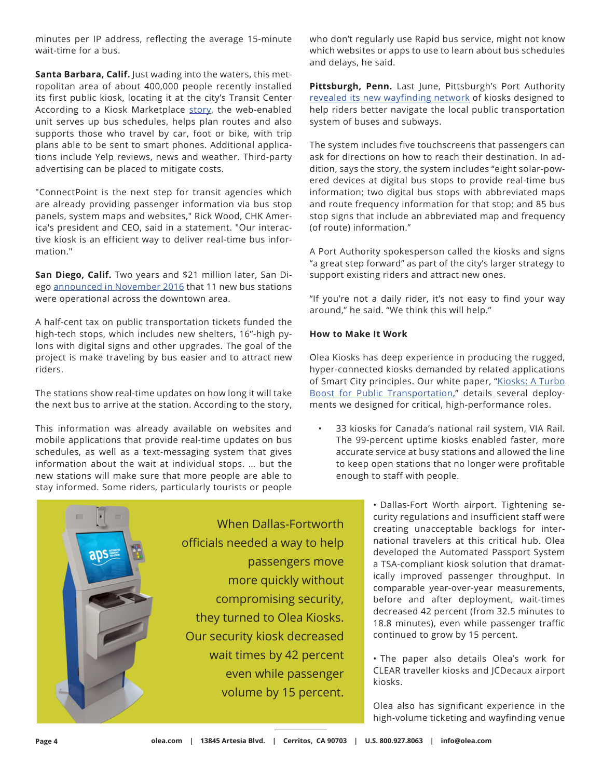minutes per IP address, reflecting the average 15-minute wait-time for a bus.

**Santa Barbara, Calif.** Just wading into the waters, this metropolitan area of about 400,000 people recently installed its first public kiosk, locating it at the city's Transit Center According to a Kiosk Marketplace [story](https://www.kioskmarketplace.com/news/chk-america-launches-transit-kiosk-in-santa-barbara/), the web-enabled unit serves up bus schedules, helps plan routes and also supports those who travel by car, foot or bike, with trip plans able to be sent to smart phones. Additional applications include Yelp reviews, news and weather. Third-party advertising can be placed to mitigate costs.

"ConnectPoint is the next step for transit agencies which are already providing passenger information via bus stop panels, system maps and websites," Rick Wood, CHK America's president and CEO, said in a statement. "Our interactive kiosk is an efficient way to deliver real-time bus information."

**San Diego, Calif.** Two years and \$21 million later, San Diego [announced in November 2016](http://www.sandiegouniontribune.com/news/politics/sd-me-bus-stations-20161121-story.html) that 11 new bus stations were operational across the downtown area.

A half-cent tax on public transportation tickets funded the high-tech stops, which includes new shelters, 16"-high pylons with digital signs and other upgrades. The goal of the project is make traveling by bus easier and to attract new riders.

The stations show real-time updates on how long it will take the next bus to arrive at the station. According to the story,

This information was already available on websites and mobile applications that provide real-time updates on bus schedules, as well as a text-messaging system that gives information about the wait at individual stops. … but the new stations will make sure that more people are able to stay informed. Some riders, particularly tourists or people who don't regularly use Rapid bus service, might not know which websites or apps to use to learn about bus schedules and delays, he said.

**Pittsburgh, Penn.** Last June, Pittsburgh's Port Authority [revealed its new wayfinding network](http://www.post-gazette.com/news/transportation/2016/06/08/Port-Authority-to-offer-kiosks-new-signs-to-help-riders/stories/201606080092) of kiosks designed to help riders better navigate the local public transportation system of buses and subways.

The system includes five touchscreens that passengers can ask for directions on how to reach their destination. In addition, says the story, the system includes "eight solar-powered devices at digital bus stops to provide real-time bus information; two digital bus stops with abbreviated maps and route frequency information for that stop; and 85 bus stop signs that include an abbreviated map and frequency (of route) information."

A Port Authority spokesperson called the kiosks and signs "a great step forward" as part of the city's larger strategy to support existing riders and attract new ones.

"If you're not a daily rider, it's not easy to find your way around," he said. "We think this will help."

## **How to Make It Work**

Olea Kiosks has deep experience in producing the rugged, hyper-connected kiosks demanded by related applications of Smart City principles. Our white paper, "[Kiosks: A Turbo](http://www.olea.com/thelab/kiosks-turbo-boost-public-transportation/)  [Boost for Public Transportation,](http://www.olea.com/thelab/kiosks-turbo-boost-public-transportation/)" details several deployments we designed for critical, high-performance roles.

• 33 kiosks for Canada's national rail system, VIA Rail. The 99-percent uptime kiosks enabled faster, more accurate service at busy stations and allowed the line to keep open stations that no longer were profitable enough to staff with people.



• Dallas-Fort Worth airport. Tightening security regulations and insufficient staff were creating unacceptable backlogs for international travelers at this critical hub. Olea developed the Automated Passport System a TSA-compliant kiosk solution that dramatically improved passenger throughput. In comparable year-over-year measurements, before and after deployment, wait-times decreased 42 percent (from 32.5 minutes to 18.8 minutes), even while passenger traffic continued to grow by 15 percent.

• The paper also details Olea's work for CLEAR traveller kiosks and JCDecaux airport kiosks.

Olea also has significant experience in the high-volume ticketing and wayfinding venue